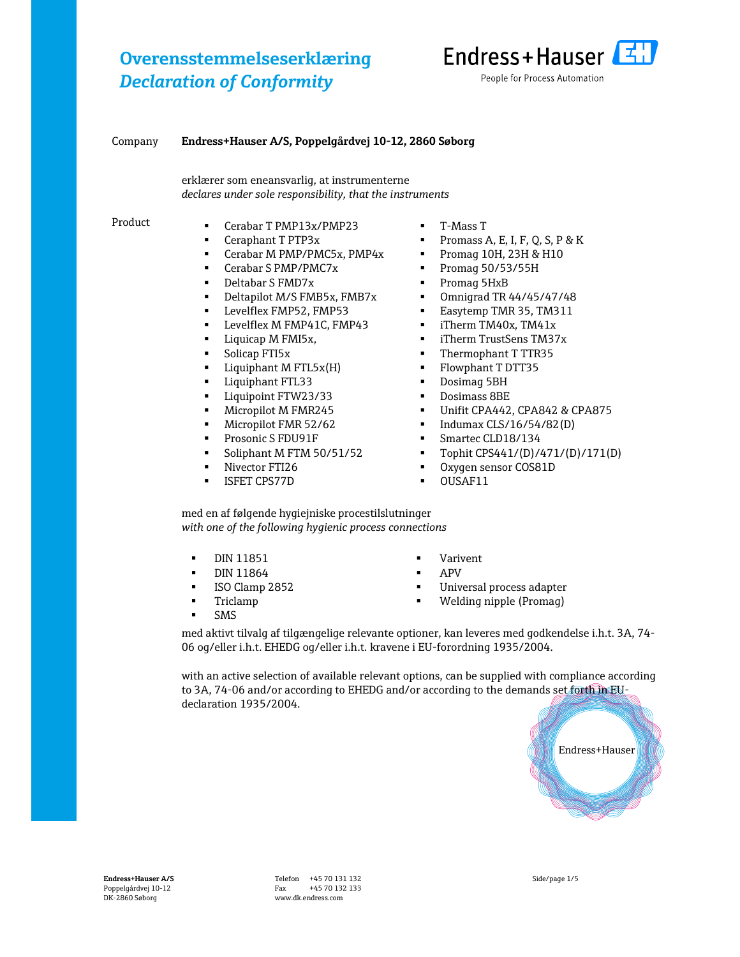

#### Company Endress+Hauser A/S, Poppelgårdvej 10-12, 2860 Søborg

erklærer som eneansvarlig, at instrumenterne declares under sole responsibility, that the instruments

- Product **Cerabar T PMP13x/PMP23** 
	- Ceraphant T PTP3x
	- Cerabar M PMP/PMC5x, PMP4x
	- Cerabar S PMP/PMC7x
	- Deltabar S FMD7x
	- Deltapilot M/S FMB5x, FMB7x
	- Levelflex FMP52, FMP53
	- Levelflex M FMP41C, FMP43
	- Liquicap M FMI5x,
	- Solicap FTI5x
	- Liquiphant M FTL5x(H)
	- Liquiphant FTL33
	- Liquipoint FTW23/33
	- Micropilot M FMR245
	- Micropilot FMR 52/62
	- Prosonic S FDU91F
	- Soliphant M FTM 50/51/52
	- Nivector FTI26
	- **ISFET CPS77D**
- T-Mass T
- Promass A, E, I, F, Q, S, P & K
- Promag 10H, 23H & H10
- Promag 50/53/55H
- Promag 5HxB
- Omnigrad TR 44/45/47/48
- Easytemp TMR 35, TM311
- **·** iTherm TM40x, TM41x
- iTherm TrustSens TM37x
- **•** Thermophant T TTR35
- Flowphant T DTT35
- Dosimag 5BH
- Dosimass 8BE
- Unifit CPA442, CPA842 & CPA875
- Indumax CLS/16/54/82(D)
- Smartec CLD18/134
- $\blacksquare$  Tophit CPS441/(D)/471/(D)/171(D)
- Oxygen sensor COS81D
- **OUSAF11**

med en af følgende hygiejniske procestilslutninger with one of the following hygienic process connections

- DIN 11851
- **DIN 11864**
- **ISO Clamp 2852**
- **Triclamp**
- SMS
- Varivent
- APV
- Universal process adapter
- Welding nipple (Promag)

med aktivt tilvalg af tilgængelige relevante optioner, kan leveres med godkendelse i.h.t. 3A, 74- 06 og/eller i.h.t. EHEDG og/eller i.h.t. kravene i EU-forordning 1935/2004.

with an active selection of available relevant options, can be supplied with compliance according to 3A, 74-06 and/or according to EHEDG and/or according to the demands set forth in EUdeclaration 1935/2004.

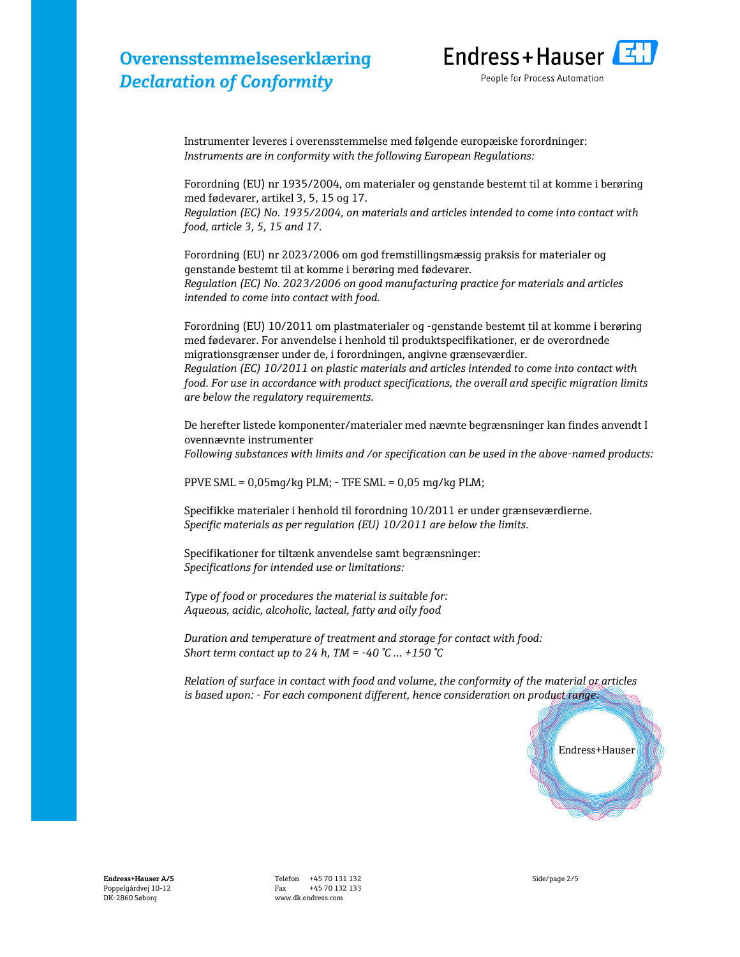

Instrumenter leveres i overensstemmelse med følgende europæiske forordninger: Instruments are in conformity with the following European Regulations:

Forordning (EU) nr 1935/2004, om materialer og genstande bestemt til at komme i berøring med fødevarer, artikel 3, 5, 15 og 17.

Regulation (EC) No. 1935/2004, on materials and articles intended to come into contact with food, article 3, 5, 15 and 17.

Forordning (EU) nr 2023/2006 om god fremstillingsmæssig praksis for materialer og genstande bestemt til at komme i berøring med fødevarer. Regulation (EC) No. 2023/2006 on good manufacturing practice for materials and articles intended to come into contact with food.

Forordning (EU) 10/2011 om plastmaterialer og -genstande bestemt til at komme i berøring med fødevarer. For anvendelse i henhold til produktspecifikationer, er de overordnede migrationsgrænser under de, i forordningen, angivne grænseværdier. Regulation (EC) 10/2011 on plastic materials and articles intended to come into contact with food. For use in accordance with product specifications, the overall and specific migration limits are below the regulatory requirements.

De herefter listede komponenter/materialer med nævnte begrænsninger kan findes anvendt I ovennævnte instrumenter Following substances with limits and /or specification can be used in the above-named products:

PPVE SML = 0,05mg/kg PLM; - TFE SML = 0,05 mg/kg PLM;

Specifikke materialer i henhold til forordning 10/2011 er under grænseværdierne. Specific materials as per regulation (EU) 10/2011 are below the limits.

Specifikationer for tiltænk anvendelse samt begrænsninger: Specifications for intended use or limitations:

Type of food or procedures the material is suitable for: Aqueous, acidic, alcoholic, lacteal, fatty and oily food

Duration and temperature of treatment and storage for contact with food: Short term contact up to 24 h, TM = -40 °C ... +150 °C

Relation of surface in contact with food and volume, the conformity of the material or articles is based upon: - For each component different, hence consideration on product range.



Endress+Hauser A/S Poppelgårdvej 10-12 DK-2860 Søborg

Telefon +45 70 131 132 Fax +45 70 132 133 www.dk.endress.com

Side/page 2/5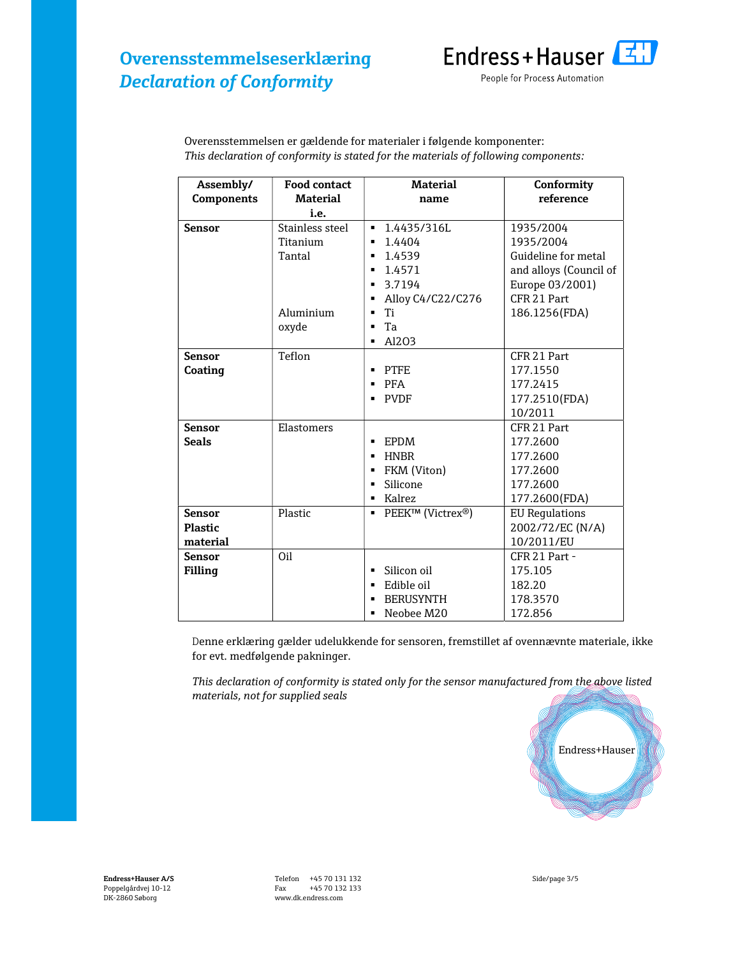

| Assembly/         | <b>Food contact</b> | <b>Material</b>               | Conformity             |
|-------------------|---------------------|-------------------------------|------------------------|
| <b>Components</b> | <b>Material</b>     | name                          | reference              |
|                   | i.e.                |                               |                        |
| <b>Sensor</b>     | Stainless steel     | 1.4435/316L                   | 1935/2004              |
|                   | Titanium            | 1.4404<br>$\blacksquare$      | 1935/2004              |
|                   | Tantal              | 1.4539<br>$\blacksquare$      | Guideline for metal    |
|                   |                     | 1.4571<br>$\blacksquare$      | and alloys (Council of |
|                   |                     | 3.7194<br>$\blacksquare$      | Europe 03/2001)        |
|                   |                     | Alloy C4/C22/C276<br>٠        | CFR 21 Part            |
|                   | Aluminium           | Ti<br>$\blacksquare$          | 186.1256(FDA)          |
|                   | oxyde               | Ta<br>$\blacksquare$          |                        |
|                   |                     | Al203<br>$\blacksquare$       |                        |
| <b>Sensor</b>     | Teflon              |                               | CFR 21 Part            |
| Coating           |                     | PTFE<br>٠                     | 177.1550               |
|                   |                     | <b>PFA</b>                    | 177.2415               |
|                   |                     | <b>PVDF</b><br>٠              | 177.2510(FDA)          |
|                   |                     |                               | 10/2011                |
| <b>Sensor</b>     | Elastomers          |                               | CFR 21 Part            |
| <b>Seals</b>      |                     | EPDM<br>٠                     | 177.2600               |
|                   |                     | <b>HNBR</b><br>$\blacksquare$ | 177.2600               |
|                   |                     | FKM (Viton)<br>٠              | 177.2600               |
|                   |                     | Silicone<br>$\blacksquare$    | 177.2600               |
|                   |                     | Kalrez<br>$\blacksquare$      | 177.2600(FDA)          |
| <b>Sensor</b>     | Plastic             | ■ PEEK™ (Victrex®)            | <b>EU Requlations</b>  |
| <b>Plastic</b>    |                     |                               | 2002/72/EC (N/A)       |
| material          |                     |                               | 10/2011/EU             |
| <b>Sensor</b>     | Oil                 |                               | CFR 21 Part -          |
| Filling           |                     | Silicon oil<br>$\blacksquare$ | 175.105                |
|                   |                     | Edible oil<br>$\blacksquare$  | 182.20                 |
|                   |                     | <b>BERUSYNTH</b>              | 178.3570               |
|                   |                     | Neobee M20<br>$\blacksquare$  | 172.856                |

Overensstemmelsen er gældende for materialer i følgende komponenter: This declaration of conformity is stated for the materials of following components:

Denne erklæring gælder udelukkende for sensoren, fremstillet af ovennævnte materiale, ikke for evt. medfølgende pakninger.

This declaration of conformity is stated only for the sensor manufactured from the above listed materials, not for supplied seals

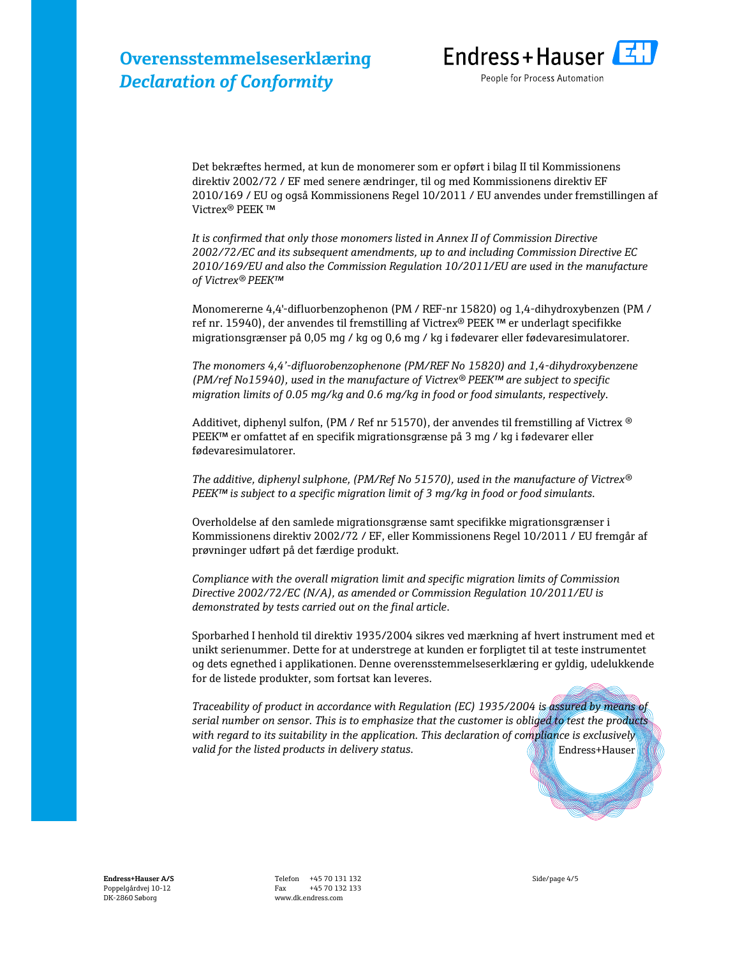

Det bekræftes hermed, at kun de monomerer som er opført i bilag II til Kommissionens direktiv 2002/72 / EF med senere ændringer, til og med Kommissionens direktiv EF 2010/169 / EU og også Kommissionens Regel 10/2011 / EU anvendes under fremstillingen af Victrex® PEEK ™

It is confirmed that only those monomers listed in Annex II of Commission Directive 2002/72/EC and its subsequent amendments, up to and including Commission Directive EC 2010/169/EU and also the Commission Regulation 10/2011/EU are used in the manufacture of Victrex® PEEK™

Monomererne 4,4'-difluorbenzophenon (PM / REF-nr 15820) og 1,4-dihydroxybenzen (PM / ref nr. 15940), der anvendes til fremstilling af Victrex® PEEK ™ er underlagt specifikke migrationsgrænser på 0,05 mg / kg og 0,6 mg / kg i fødevarer eller fødevaresimulatorer.

The monomers 4,4'-difluorobenzophenone (PM/REF No 15820) and 1,4-dihydroxybenzene (PM/ref No15940), used in the manufacture of Victrex® PEEK™ are subject to specific migration limits of 0.05 mg/kg and 0.6 mg/kg in food or food simulants, respectively.

Additivet, diphenyl sulfon, (PM / Ref nr 51570), der anvendes til fremstilling af Victrex ® PEEK™ er omfattet af en specifik migrationsgrænse på 3 mg / kg i fødevarer eller fødevaresimulatorer.

The additive, diphenyl sulphone, (PM/Ref No 51570), used in the manufacture of Victrex®  $PEEK^{TM}$  is subject to a specific migration limit of 3 mg/kg in food or food simulants.

Overholdelse af den samlede migrationsgrænse samt specifikke migrationsgrænser i Kommissionens direktiv 2002/72 / EF, eller Kommissionens Regel 10/2011 / EU fremgår af prøvninger udført på det færdige produkt.

Compliance with the overall migration limit and specific migration limits of Commission Directive 2002/72/EC (N/A), as amended or Commission Regulation 10/2011/EU is demonstrated by tests carried out on the final article.

Sporbarhed I henhold til direktiv 1935/2004 sikres ved mærkning af hvert instrument med et unikt serienummer. Dette for at understrege at kunden er forpligtet til at teste instrumentet og dets egnethed i applikationen. Denne overensstemmelseserklæring er gyldig, udelukkende for de listede produkter, som fortsat kan leveres.

Endress+Hauser Traceability of product in accordance with Regulation (EC) 1935/2004 is assured by means of serial number on sensor. This is to emphasize that the customer is obliged to test the products with regard to its suitability in the application. This declaration of compliance is exclusively valid for the listed products in delivery status.

Endress+Hauser A/S Poppelgårdvej 10-12 DK-2860 Søborg

Telefon +45 70 131 132 Fax +45 70 132 133 www.dk.endress.com

Side/page 4/5